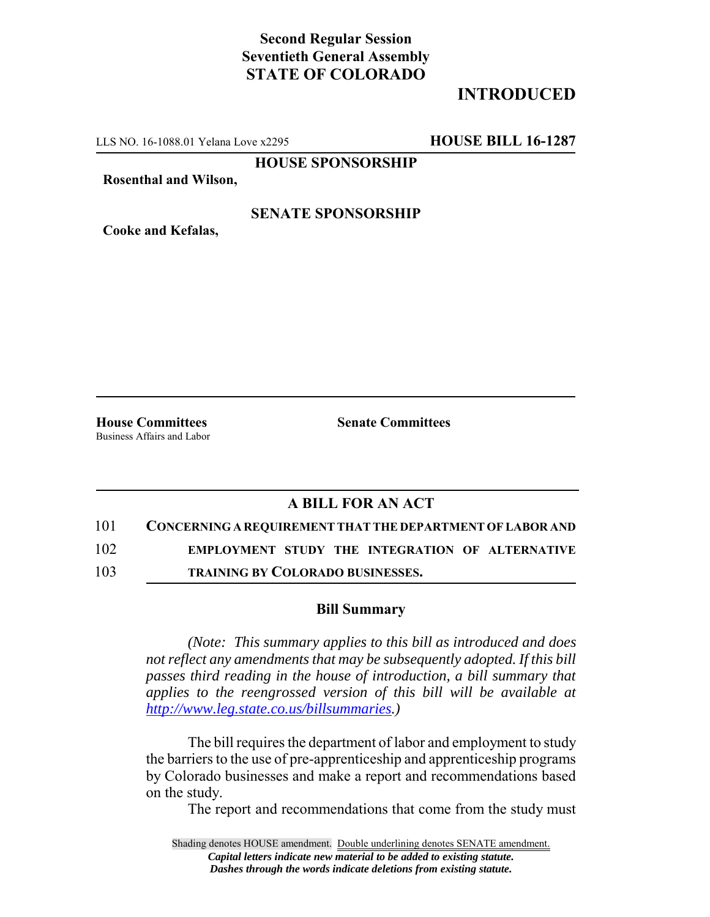# **Second Regular Session Seventieth General Assembly STATE OF COLORADO**

# **INTRODUCED**

LLS NO. 16-1088.01 Yelana Love x2295 **HOUSE BILL 16-1287**

**HOUSE SPONSORSHIP**

**Rosenthal and Wilson,**

## **SENATE SPONSORSHIP**

**Cooke and Kefalas,**

**House Committees Senate Committees** Business Affairs and Labor

## **A BILL FOR AN ACT**

#### 101 **CONCERNING A REQUIREMENT THAT THE DEPARTMENT OF LABOR AND**

102 **EMPLOYMENT STUDY THE INTEGRATION OF ALTERNATIVE**

103 **TRAINING BY COLORADO BUSINESSES.**

### **Bill Summary**

*(Note: This summary applies to this bill as introduced and does not reflect any amendments that may be subsequently adopted. If this bill passes third reading in the house of introduction, a bill summary that applies to the reengrossed version of this bill will be available at http://www.leg.state.co.us/billsummaries.)*

The bill requires the department of labor and employment to study the barriers to the use of pre-apprenticeship and apprenticeship programs by Colorado businesses and make a report and recommendations based on the study.

The report and recommendations that come from the study must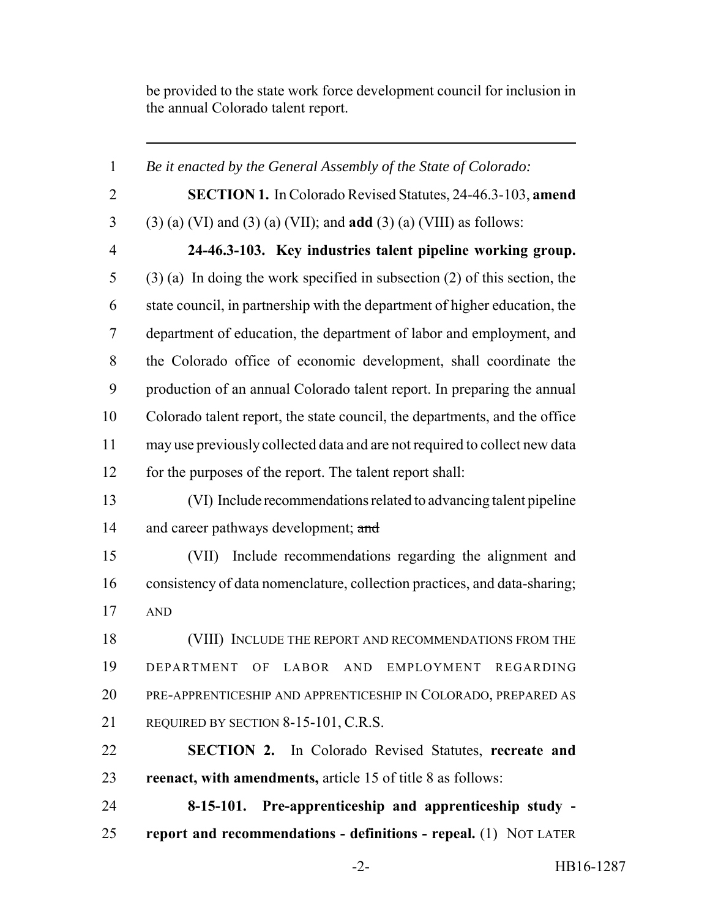be provided to the state work force development council for inclusion in the annual Colorado talent report.

 *Be it enacted by the General Assembly of the State of Colorado:* **SECTION 1.** In Colorado Revised Statutes, 24-46.3-103, **amend** (3) (a) (VI) and (3) (a) (VII); and **add** (3) (a) (VIII) as follows: **24-46.3-103. Key industries talent pipeline working group.** (3) (a) In doing the work specified in subsection (2) of this section, the state council, in partnership with the department of higher education, the department of education, the department of labor and employment, and the Colorado office of economic development, shall coordinate the production of an annual Colorado talent report. In preparing the annual Colorado talent report, the state council, the departments, and the office may use previously collected data and are not required to collect new data for the purposes of the report. The talent report shall: (VI) Include recommendations related to advancing talent pipeline 14 and career pathways development; and (VII) Include recommendations regarding the alignment and consistency of data nomenclature, collection practices, and data-sharing; AND (VIII) INCLUDE THE REPORT AND RECOMMENDATIONS FROM THE DEPARTMENT OF LABOR AND EMPLOYMENT REGARDING PRE-APPRENTICESHIP AND APPRENTICESHIP IN COLORADO, PREPARED AS REQUIRED BY SECTION 8-15-101, C.R.S. **SECTION 2.** In Colorado Revised Statutes, **recreate and reenact, with amendments,** article 15 of title 8 as follows: **8-15-101. Pre-apprenticeship and apprenticeship study - report and recommendations - definitions - repeal.** (1) NOT LATER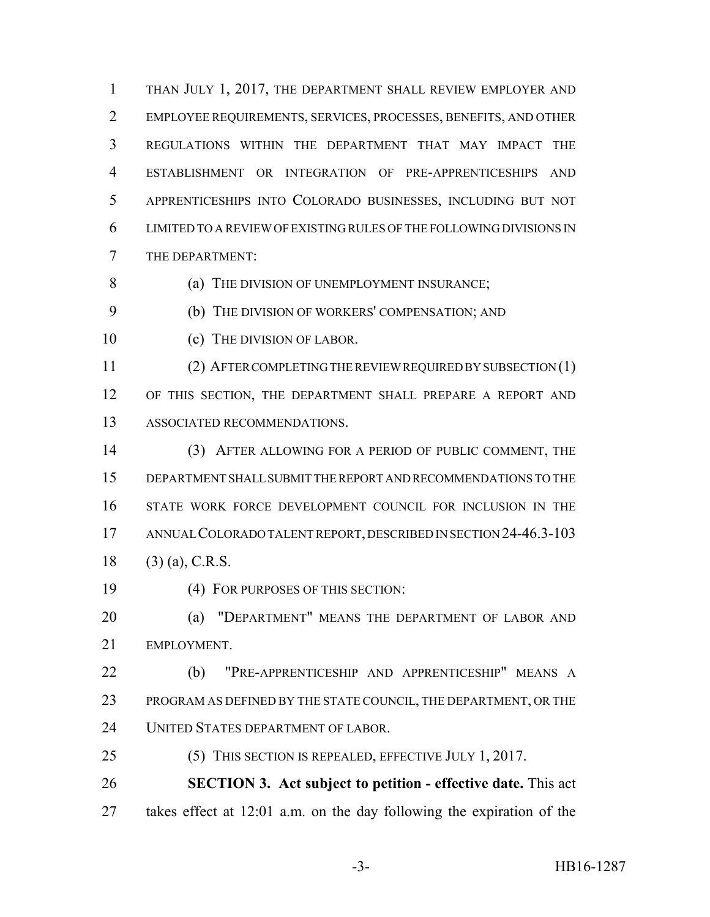THAN JULY 1, 2017, THE DEPARTMENT SHALL REVIEW EMPLOYER AND EMPLOYEE REQUIREMENTS, SERVICES, PROCESSES, BENEFITS, AND OTHER REGULATIONS WITHIN THE DEPARTMENT THAT MAY IMPACT THE ESTABLISHMENT OR INTEGRATION OF PRE-APPRENTICESHIPS AND APPRENTICESHIPS INTO COLORADO BUSINESSES, INCLUDING BUT NOT LIMITED TO A REVIEW OF EXISTING RULES OF THE FOLLOWING DIVISIONS IN THE DEPARTMENT:

8 (a) THE DIVISION OF UNEMPLOYMENT INSURANCE;

(b) THE DIVISION OF WORKERS' COMPENSATION; AND

(c) THE DIVISION OF LABOR.

(2) AFTER COMPLETING THE REVIEW REQUIRED BY SUBSECTION (1)

12 OF THIS SECTION, THE DEPARTMENT SHALL PREPARE A REPORT AND ASSOCIATED RECOMMENDATIONS.

 (3) AFTER ALLOWING FOR A PERIOD OF PUBLIC COMMENT, THE DEPARTMENT SHALL SUBMIT THE REPORT AND RECOMMENDATIONS TO THE STATE WORK FORCE DEVELOPMENT COUNCIL FOR INCLUSION IN THE ANNUAL COLORADO TALENT REPORT, DESCRIBED IN SECTION 24-46.3-103 18 (3) (a), C.R.S.

(4) FOR PURPOSES OF THIS SECTION:

**(a) "DEPARTMENT" MEANS THE DEPARTMENT OF LABOR AND** EMPLOYMENT.

 (b) "PRE-APPRENTICESHIP AND APPRENTICESHIP" MEANS A PROGRAM AS DEFINED BY THE STATE COUNCIL, THE DEPARTMENT, OR THE UNITED STATES DEPARTMENT OF LABOR.

(5) THIS SECTION IS REPEALED, EFFECTIVE JULY 1, 2017.

 **SECTION 3. Act subject to petition - effective date.** This act takes effect at 12:01 a.m. on the day following the expiration of the